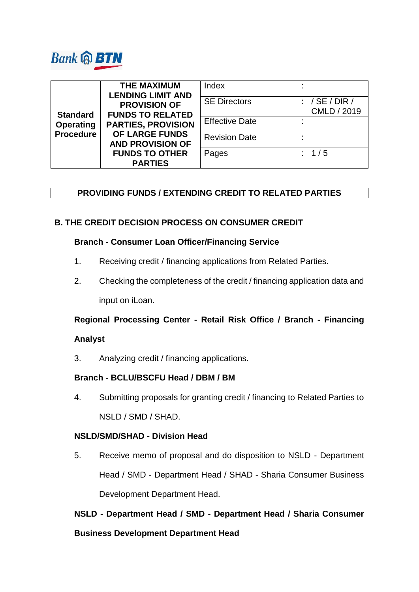

| <b>Standard</b><br><b>Operating</b><br><b>Procedure</b> | <b>THE MAXIMUM</b><br><b>LENDING LIMIT AND</b>                                                                                                                      | Index                 |    |                             |
|---------------------------------------------------------|---------------------------------------------------------------------------------------------------------------------------------------------------------------------|-----------------------|----|-----------------------------|
|                                                         | <b>PROVISION OF</b><br><b>FUNDS TO RELATED</b><br><b>PARTIES, PROVISION</b><br>OF LARGE FUNDS<br><b>AND PROVISION OF</b><br><b>FUNDS TO OTHER</b><br><b>PARTIES</b> | <b>SE Directors</b>   |    | : $/SE/DIR/$<br>CMLD / 2019 |
|                                                         |                                                                                                                                                                     | <b>Effective Date</b> | ٠. |                             |
|                                                         |                                                                                                                                                                     | <b>Revision Date</b>  |    |                             |
|                                                         |                                                                                                                                                                     | Pages                 |    | : 1/5                       |

# **PROVIDING FUNDS / EXTENDING CREDIT TO RELATED PARTIES**

# **B. THE CREDIT DECISION PROCESS ON CONSUMER CREDIT**

### **Branch - Consumer Loan Officer/Financing Service**

- 1. Receiving credit / financing applications from Related Parties.
- 2. Checking the completeness of the credit / financing application data and input on iLoan.

# **Regional Processing Center - Retail Risk Office / Branch - Financing**

### **Analyst**

3. Analyzing credit / financing applications.

# **Branch - BCLU/BSCFU Head / DBM / BM**

4. Submitting proposals for granting credit / financing to Related Parties to NSLD / SMD / SHAD.

## **NSLD/SMD/SHAD - Division Head**

5. Receive memo of proposal and do disposition to NSLD - Department Head / SMD - Department Head / SHAD - Sharia Consumer Business Development Department Head.

**NSLD - Department Head / SMD - Department Head / Sharia Consumer** 

### **Business Development Department Head**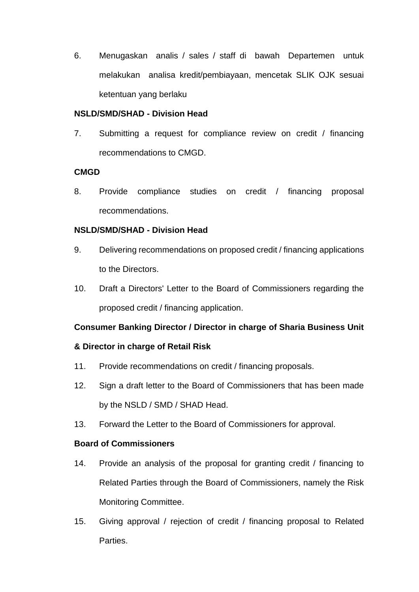6. Menugaskan analis / sales / staff di bawah Departemen untuk melakukan analisa kredit/pembiayaan, mencetak SLIK OJK sesuai ketentuan yang berlaku

## **NSLD/SMD/SHAD - Division Head**

7. Submitting a request for compliance review on credit / financing recommendations to CMGD.

## **CMGD**

8. Provide compliance studies on credit / financing proposal recommendations.

# **NSLD/SMD/SHAD - Division Head**

- 9. Delivering recommendations on proposed credit / financing applications to the Directors.
- 10. Draft a Directors' Letter to the Board of Commissioners regarding the proposed credit / financing application.

# **Consumer Banking Director / Director in charge of Sharia Business Unit**

# **& Director in charge of Retail Risk**

- 11. Provide recommendations on credit / financing proposals.
- 12. Sign a draft letter to the Board of Commissioners that has been made by the NSLD / SMD / SHAD Head.
- 13. Forward the Letter to the Board of Commissioners for approval.

## **Board of Commissioners**

- 14. Provide an analysis of the proposal for granting credit / financing to Related Parties through the Board of Commissioners, namely the Risk Monitoring Committee.
- 15. Giving approval / rejection of credit / financing proposal to Related Parties.